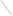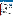

# **Wetlands Protection** <u>Using the Clean Water State Revolving Fund</u>

## New York Uses CWSRF to Fund Wetland Acquisition

The State of New York

has used its SRF as a low-cost way to fund land acquisition projects that protect water quality. In 2000, the City of Rye, NY used a \$3.1 million CWSRF shortterm, zero interest loan to acquire and protect crucial land in the Long Island Sound Estuary. This land acquisition, recommended in the [Comprehensive](http://www.epa.gov/region01/eco/lis/plan.html) Conservation and [Management Plan for](http://www.epa.gov/region01/eco/lis/plan.html) [the Long Island Sound](http://www.epa.gov/region01/eco/lis/plan.html), will protect water quality and preserve and improve the waterfront, tributaries and wetlands within the City. The State recently expanded their SRF to provide notfor-profit organizations a mechanism to fund land acquisition projects that protect water quality.



*In 1987, Congress amended the Clean Water Act and created the Clean Water State Revolving Fund (CWSRF) to finance projects that improve water quality. The 51 individual revolving funds combine federal and state money to provide low-interest loans for eligible projects. Between \$3 and \$4 billion is loaned out each year to public and private organizations to improve water quality. As the loans are repaid, money is available to be used again for new projects — a true revolving fund. Wetland preservation, restoration and creation projects are often eligible for funding under the CWSRF.*

#### **Using the CWSRF for Nonpoint Source Pollution Control and Coastal Management**

**Tistorically, states have used CWSRF loans**  to finance large municipal wastewater treatment facilities. However, in recent years, states have begun to redirect their funds to help manage nonpoint source pollution (NPS). Unlike pollution that comes from direct sources, such as wastewater sewage plants, NPS pollution is caused from rainwater or snowmelt running over and through the ground. As it travels, the run-off picks up sediments, fertilizers, and other man-made chemicals and deposits these pollutants into downstream or lower lying waterbodies.

Since 1995, 28 percent of all CWSRF loan agreements have been used to fund nonpoint source pollution control projects. States can also use the SRF to implement Comprehensive Coastal Management Plans developed through [EPA's National Estuary Program](http://www.epa.gov/nep/).

#### **Where do wetlands fit in?**

One of the unique functions of wetland areas is that they can help control NPS pollutants like sediment, nutrients and certain heavy metals without being degraded. Wetlands vegetation can transform, uptake and store these pollutants while slowing runoff from the surrounding landscape. Properly managed wetlands can play a significant role in improving water quality. In addition, Comprehensive Coastal Management Plans often include projects to restore habitat, including wetlands.

#### **Who is eligible to apply for a CWSRF loan?**

Because each state administers and sets its own program priorities, loan eligibility varies from state to state. Typical applicants have been municipalities and other public organizations.However, more than 15 states now accept loan applications from not-forprofit organizations or private entities. Oftentimes, not-for-profit organizations partner with other state agencies, government loan programs, municipalities or banks.

#### **What types of wetland projects can be funded?**

Over 30 states use their CWSRF to support nonpoint source projects. Some specific wetland examples include: wetlands acquisition, creation of treatment wetlands, restoration of degraded or nonfunctioning wetlands, and the purchase of conservation easements.

### *Benefits of a CWSRF Loan:*

- **Favorable Terms** CWSRF asssistance is usually offered on advantageous terms: loans with interest rates between market rate and 0%, and a repayment period as long as 20 years.
- **Flexible Repayment Options**  The source for repayment doesn't necessarily have to come from the project itself. Some creative solutions have included recreational fees, supplemental taxes or membership dues.
- **Loans can cover 100% of eligible costs** with no cash up front.